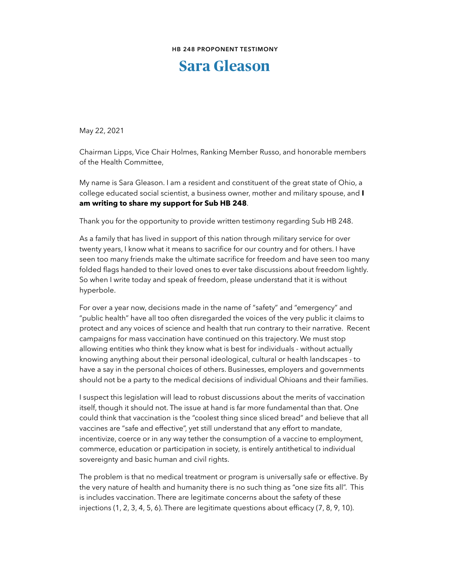## **HB 248 PROPONENT TESTIMONY**

## **Sara Gleason**

May 22, 2021

Chairman Lipps, Vice Chair Holmes, Ranking Member Russo, and honorable members of the Health Committee,

My name is Sara Gleason. I am a resident and constituent of the great state of Ohio, a college educated social scientist, a business owner, mother and military spouse, and **I am writing to share my support for Sub HB 248**.

Thank you for the opportunity to provide written testimony regarding Sub HB 248.

As a family that has lived in support of this nation through military service for over twenty years, I know what it means to sacrifice for our country and for others. I have seen too many friends make the ultimate sacrifice for freedom and have seen too many folded flags handed to their loved ones to ever take discussions about freedom lightly. So when I write today and speak of freedom, please understand that it is without hyperbole.

For over a year now, decisions made in the name of "safety" and "emergency" and "public health" have all too often disregarded the voices of the very public it claims to protect and any voices of science and health that run contrary to their narrative. Recent campaigns for mass vaccination have continued on this trajectory. We must stop allowing entities who think they know what is best for individuals - without actually knowing anything about their personal ideological, cultural or health landscapes - to have a say in the personal choices of others. Businesses, employers and governments should not be a party to the medical decisions of individual Ohioans and their families.

I suspect this legislation will lead to robust discussions about the merits of vaccination itself, though it should not. The issue at hand is far more fundamental than that. One could think that vaccination is the "coolest thing since sliced bread" and believe that all vaccines are "safe and effective", yet still understand that any effort to mandate, incentivize, coerce or in any way tether the consumption of a vaccine to employment, commerce, education or participation in society, is entirely antithetical to individual sovereignty and basic human and civil rights.

The problem is that no medical treatment or program is universally safe or effective. By the very nature of health and humanity there is no such thing as "one size fits all". This is includes vaccination. There are legitimate concerns about the safety of these injections (1, 2, 3, 4, 5, 6). There are legitimate questions about efficacy (7, 8, 9, 10).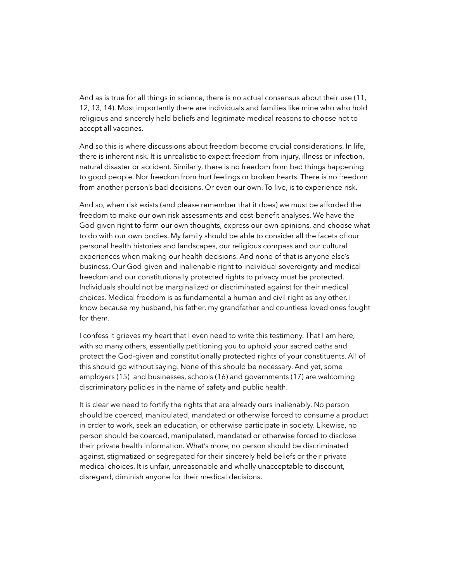And as is true for all things in science, there is no actual consensus about their use (11, 12, 13, 14). Most importantly there are individuals and families like mine who who hold religious and sincerely held beliefs and legitimate medical reasons to choose not to accept all vaccines.

And so this is where discussions about freedom become crucial considerations. In life, there is inherent risk. It is unrealistic to expect freedom from injury, illness or infection, natural disaster or accident. Similarly, there is no freedom from bad things happening to good people. Nor freedom from hurt feelings or broken hearts. There is no freedom from another person's bad decisions. Or even our own. To live, is to experience risk.

And so, when risk exists (and please remember that it does) we must be afforded the freedom to make our own risk assessments and cost-benefit analyses. We have the God-given right to form our own thoughts, express our own opinions, and choose what to do with our own bodies. My family should be able to consider all the facets of our personal health histories and landscapes, our religious compass and our cultural experiences when making our health decisions. And none of that is anyone else's business. Our God-given and inalienable right to individual sovereignty and medical freedom and our constitutionally protected rights to privacy must be protected. Individuals should not be marginalized or discriminated against for their medical choices. Medical freedom is as fundamental a human and civil right as any other. I know because my husband, his father, my grandfather and countless loved ones fought for them.

I confess it grieves my heart that I even need to write this testimony. That I am here, with so many others, essentially petitioning you to uphold your sacred oaths and protect the God-given and constitutionally protected rights of your constituents. All of this should go without saying. None of this should be necessary. And yet, some employers (15) and businesses, schools (16) and governments (17) are welcoming discriminatory policies in the name of safety and public health.

It is clear we need to fortify the rights that are already ours inalienably. No person should be coerced, manipulated, mandated or otherwise forced to consume a product in order to work, seek an education, or otherwise participate in society. Likewise, no person should be coerced, manipulated, mandated or otherwise forced to disclose their private health information. What's more, no person should be discriminated against, stigmatized or segregated for their sincerely held beliefs or their private medical choices. It is unfair, unreasonable and wholly unacceptable to discount, disregard, diminish anyone for their medical decisions.